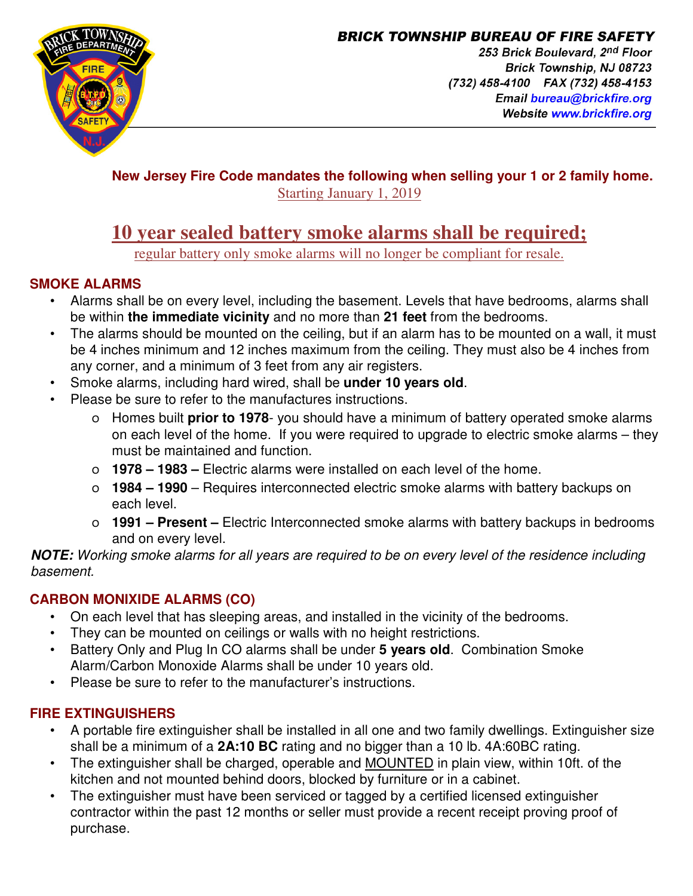

**BRICK TOWNSHIP BUREAU OF FIRE SAFETY** 253 Brick Boulevard, 2nd Floor Brick Township, NJ 08723 (732) 458-4100 FAX (732) 458-4153 Email bureau@brickfire.org Website www.brickfire.org

#### **New Jersey Fire Code mandates the following when selling your 1 or 2 family home.**  Starting January 1, 2019

# **10 year sealed battery smoke alarms shall be required;**

regular battery only smoke alarms will no longer be compliant for resale.

## **SMOKE ALARMS**

- Alarms shall be on every level, including the basement. Levels that have bedrooms, alarms shall be within **the immediate vicinity** and no more than **21 feet** from the bedrooms.
- The alarms should be mounted on the ceiling, but if an alarm has to be mounted on a wall, it must be 4 inches minimum and 12 inches maximum from the ceiling. They must also be 4 inches from any corner, and a minimum of 3 feet from any air registers.
- Smoke alarms, including hard wired, shall be **under 10 years old**.
- Please be sure to refer to the manufactures instructions.
	- o Homes built **prior to 1978** you should have a minimum of battery operated smoke alarms on each level of the home. If you were required to upgrade to electric smoke alarms – they must be maintained and function.
	- o **1978 1983 –** Electric alarms were installed on each level of the home.
	- o **1984 1990** Requires interconnected electric smoke alarms with battery backups on each level.
	- o **1991 Present** Electric Interconnected smoke alarms with battery backups in bedrooms and on every level.

**NOTE:** Working smoke alarms for all years are required to be on every level of the residence including basement.

## **CARBON MONIXIDE ALARMS (CO)**

- On each level that has sleeping areas, and installed in the vicinity of the bedrooms.
- They can be mounted on ceilings or walls with no height restrictions.
- Battery Only and Plug In CO alarms shall be under **5 years old**. Combination Smoke Alarm/Carbon Monoxide Alarms shall be under 10 years old.
- Please be sure to refer to the manufacturer's instructions.

## **FIRE EXTINGUISHERS**

- A portable fire extinguisher shall be installed in all one and two family dwellings. Extinguisher size shall be a minimum of a **2A:10 BC** rating and no bigger than a 10 lb. 4A:60BC rating.
- The extinguisher shall be charged, operable and MOUNTED in plain view, within 10ft. of the kitchen and not mounted behind doors, blocked by furniture or in a cabinet.
- The extinguisher must have been serviced or tagged by a certified licensed extinguisher contractor within the past 12 months or seller must provide a recent receipt proving proof of purchase.